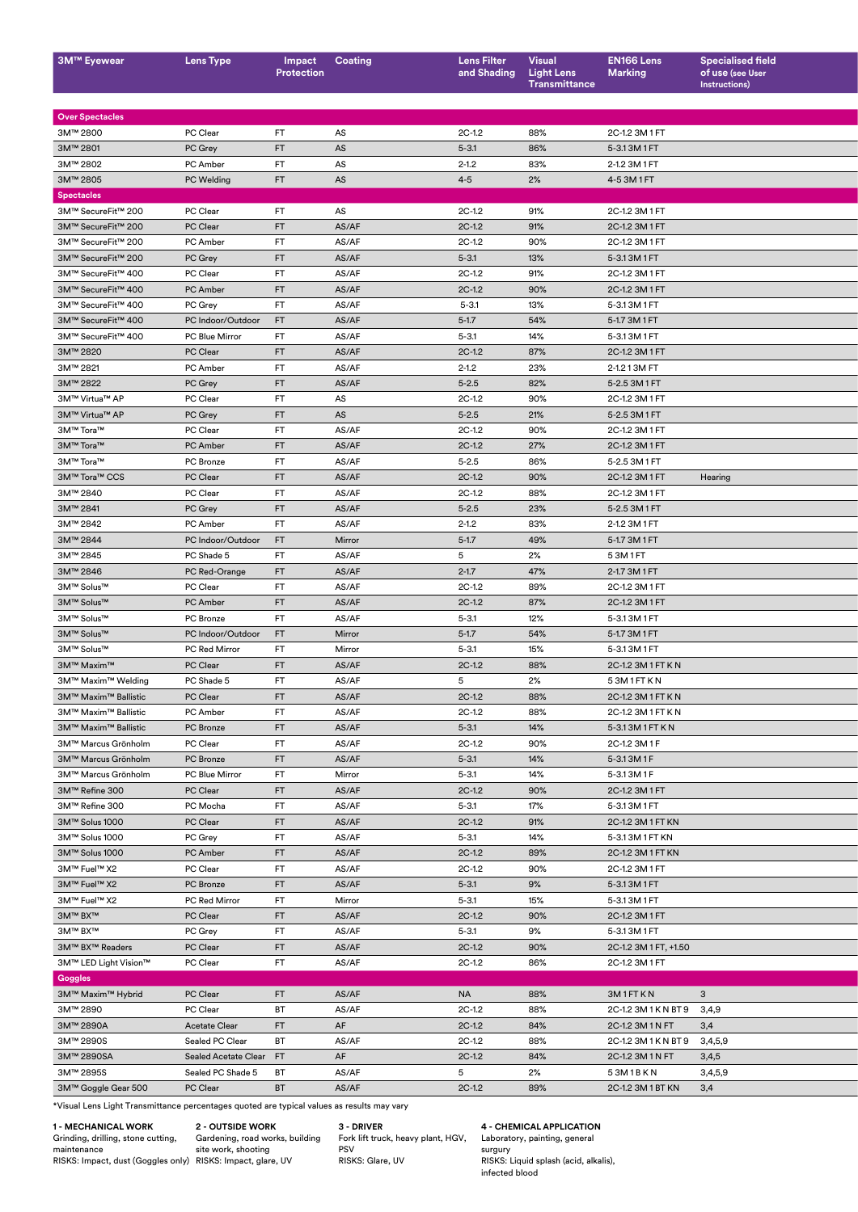| <b>3M™ Eyewear</b>     | <b>Lens Type</b>        | Protection | Impact Coating | <b>Lens Filter</b><br>and Shading | <b>Visual</b><br><b>Light Lens</b><br>Transmittance | <b>EN166 Lens</b><br><b>Marking</b> | <b>Specialised field</b><br>of use (see User<br>Instructions) |
|------------------------|-------------------------|------------|----------------|-----------------------------------|-----------------------------------------------------|-------------------------------------|---------------------------------------------------------------|
|                        |                         |            |                |                                   |                                                     |                                     |                                                               |
| <b>Over Spectacles</b> |                         |            |                |                                   |                                                     |                                     |                                                               |
| 3M™ 2800               | PC Clear                | FT.        | AS             | $2C-1.2$                          | 88%                                                 | 2C-1.2 3M 1 FT                      |                                                               |
| 3M™ 2801               | PC Grey                 | FT         | AS             | $5 - 3.1$                         | 86%                                                 | 5-3.13M1FT                          |                                                               |
| 3M™ 2802               | PC Amber                | FT.        | AS             | $2 - 1.2$                         | 83%                                                 | 2-1.2 3M 1 FT                       |                                                               |
| 3M™ 2805               | PC Welding              | FT         | AS             | $4 - 5$                           | 2%                                                  | 4-53M1FT                            |                                                               |
| <b>Spectacles</b>      |                         |            |                |                                   |                                                     |                                     |                                                               |
| 3M™ SecureFit™ 200     | PC Clear                | FT.        | AS             | $2C-1.2$                          | 91%                                                 | 2C-1.2 3M 1 FT                      |                                                               |
| 3M™ SecureFit™ 200     | PC Clear                | FT         | AS/AF          | $2C-1.2$                          | 91%                                                 | 2C-1.2 3M 1 FT                      |                                                               |
| 3M™ SecureFit™ 200     | PC Amber                | <b>FT</b>  | AS/AF          | $2C-1.2$                          | 90%                                                 | 2C-1.2 3M 1 FT                      |                                                               |
| 3M™ SecureFit™ 200     | PC Grey                 | FT         | AS/AF          | $5 - 3.1$                         | 13%                                                 | 5-3.13M1FT                          |                                                               |
| 3M™ SecureFit™ 400     | PC Clear                | FT.        | AS/AF          | $2C-1.2$                          | 91%                                                 | 2C-1.2 3M 1 FT                      |                                                               |
| 3M™ SecureFit™ 400     | PC Amber                | FT         | AS/AF          | $2C-1.2$                          | 90%                                                 | 2C-1.2 3M 1 FT                      |                                                               |
| 3M™ SecureFit™ 400     | PC Grey                 | FT.        | AS/AF          | $5 - 3.1$                         | 13%                                                 | 5-3.13M1FT                          |                                                               |
| 3M™ SecureFit™ 400     | PC Indoor/Outdoor FT    |            | AS/AF          | $5 - 1.7$                         | 54%                                                 | 5-1.7 3M 1 FT                       |                                                               |
| 3M™ SecureFit™ 400     | PC Blue Mirror          | FT.        | AS/AF          | $5 - 3.1$                         | 14%                                                 | 5-3.13M1FT                          |                                                               |
| 3M™ 2820               | PC Clear                | FT         | AS/AF          | $2C-1.2$                          | 87%                                                 | 2C-1.2 3M 1 FT                      |                                                               |
|                        |                         |            |                |                                   |                                                     |                                     |                                                               |
| 3M™ 2821               | PC Amber                | <b>FT</b>  | AS/AF          | $2 - 1.2$                         | 23%                                                 | 2-1.2 1 3M FT                       |                                                               |
| 3M™ 2822               | PC Grey                 | FT         | AS/AF          | $5 - 2.5$                         | 82%                                                 | 5-2.5 3M 1 FT                       |                                                               |
| 3M™ Virtua™ AP         | PC Clear                | <b>FT</b>  | AS             | $2C-1.2$                          | 90%                                                 | 2C-1.2 3M 1 FT                      |                                                               |
| 3M™ Virtua™ AP         | PC Grey                 | FT         | AS             | $5 - 2.5$                         | 21%                                                 | 5-2.5 3M 1 FT                       |                                                               |
| 3M™ Tora™              | PC Clear                | FT.        | AS/AF          | $2C-1.2$                          | 90%                                                 | 2C-1.2 3M 1 FT                      |                                                               |
| 3M™ Tora™              | PC Amber                | FT         | AS/AF          | $2C-1.2$                          | 27%                                                 | 2C-1.2 3M 1 FT                      |                                                               |
| 3M™ Tora™              | PC Bronze               | FT.        | AS/AF          | $5 - 2.5$                         | 86%                                                 | 5-2.5 3M 1 FT                       |                                                               |
| 3M™ Tora™ CCS          | PC Clear                | FT         | AS/AF          | $2C-1.2$                          | 90%                                                 | 2C-1.2 3M 1 FT                      | Hearing                                                       |
| 3M™ 2840               | PC Clear                | FT.        | AS/AF          | $2C-1.2$                          | 88%                                                 | 2C-1.2 3M 1 FT                      |                                                               |
| 3M™ 2841               | PC Grey                 | FT         | AS/AF          | $5 - 2.5$                         | 23%                                                 | 5-2.5 3M 1 FT                       |                                                               |
| 3M™ 2842               | PC Amber                | <b>FT</b>  | AS/AF          | $2 - 1.2$                         | 83%                                                 | 2-1.2 3M 1 FT                       |                                                               |
| 3M™ 2844               | PC Indoor/Outdoor FT    |            | Mirror         | $5 - 1.7$                         | 49%                                                 | 5-1.7 3M 1 FT                       |                                                               |
| 3M™ 2845               | PC Shade 5              | FT.        | AS/AF          | 5 <sup>5</sup>                    | 2%                                                  | 53M1FT                              |                                                               |
| 3M™ 2846               | PC Red-Orange           | FT         | AS/AF          | $2 - 1.7$                         | 47%                                                 | 2-1.7 3M 1 FT                       |                                                               |
|                        |                         |            |                |                                   |                                                     |                                     |                                                               |
| 3M™ Solus™             | PC Clear                | FT.        | AS/AF          | $2C-1.2$                          | 89%                                                 | 2C-1.2 3M 1 FT                      |                                                               |
| 3M™ Solus™             | PC Amber                | FT         | AS/AF          | $2C-1.2$                          | 87%                                                 | 2C-1.2 3M 1 FT                      |                                                               |
| 3M™ Solus™             | PC Bronze               | FT.        | AS/AF          | $5 - 3.1$                         | 12%                                                 | 5-3.13M1FT                          |                                                               |
| 3M™ Solus™             | PC Indoor/Outdoor FT    |            | Mirror         | $5 - 1.7$                         | 54%                                                 | 5-1.7 3M 1 FT                       |                                                               |
| 3M™ Solus™             | PC Red Mirror           | FT.        | Mirror         | $5 - 3.1$                         | 15%                                                 | 5-3.13M1FT                          |                                                               |
| 3M™ Maxim™             | PC Clear                | FT         | AS/AF          | $2C-1.2$                          | 88%                                                 | 2C-1.2 3M 1 FT K N                  |                                                               |
| 3M™ Maxim™ Welding     | PC Shade 5              | FT.        | AS/AF          | 5 <sub>5</sub>                    | 2%                                                  | 53M1FTKN                            |                                                               |
| 3M™ Maxim™ Ballistic   | PC Clear                | FT         | AS/AF          | $2C-1.2$                          | 88%                                                 | 2C-1.2 3M 1 FT K N                  |                                                               |
| 3M™ Maxim™ Ballistic   | PC Amber                | <b>FT</b>  | AS/AF          | $2C-1.2$                          | 88%                                                 | 2C-1.2 3M 1 FT K N                  |                                                               |
| 3M™ Maxim™ Ballistic   | PC Bronze               | FT         | AS/AF          | $5 - 3.1$                         | 14%                                                 | 5-3.13M1FTKN                        |                                                               |
| 3M™ Marcus Grönholm    | PC Clear                | FT.        | AS/AF          | $2C-1.2$                          | 90%                                                 | 2C-1.2 3M 1 F                       |                                                               |
|                        |                         | FT         |                | $5 - 3.1$                         |                                                     |                                     |                                                               |
| 3M™ Marcus Grönholm    | PC Bronze               |            | AS/AF          |                                   | 14%                                                 | 5-3.13M1F                           |                                                               |
| 3M™ Marcus Grönholm    | PC Blue Mirror          | <b>FT</b>  | Mirror         | $5 - 3.1$                         | 14%                                                 | 5-3.13M1F                           |                                                               |
| 3M™ Refine 300         | PC Clear                | FT         | AS/AF          | $2C-1.2$                          | 90%                                                 | 2C-1.2 3M 1 FT                      |                                                               |
| 3M™ Refine 300         | PC Mocha                | FT.        | AS/AF          | $5 - 3.1$                         | 17%                                                 | 5-3.13M1FT                          |                                                               |
| 3M™ Solus 1000         | PC Clear                | FT         | AS/AF          | $2C-1.2$                          | 91%                                                 | 2C-1.2 3M 1 FT KN                   |                                                               |
| 3M™ Solus 1000         | PC Grey                 | <b>FT</b>  | AS/AF          | $5 - 3.1$                         | 14%                                                 | 5-3.13M1FTKN                        |                                                               |
| 3M™ Solus 1000         | PC Amber                | FT         | AS/AF          | $2C-1.2$                          | 89%                                                 | 2C-1.2 3M 1 FT KN                   |                                                               |
| 3M™ Fuel™ X2           | PC Clear                | FT.        | AS/AF          | $2C-1.2$                          | 90%                                                 | 2C-1.2 3M 1 FT                      |                                                               |
| 3M™ Fuel™ X2           | PC Bronze               | FT         | AS/AF          | $5 - 3.1$                         | 9%                                                  | 5-3.13M1FT                          |                                                               |
| 3M™ Fuel™ X2           | PC Red Mirror           | FT.        | Mirror         | $5 - 3.1$                         | 15%                                                 | 5-3.13M1FT                          |                                                               |
| 3M™ BX™                | PC Clear                | FT         | AS/AF          | $2C-1.2$                          | 90%                                                 | 2C-1.2 3M 1 FT                      |                                                               |
| 3M™ BX™                | PC Grey                 | FT.        | AS/AF          | $5 - 3.1$                         | 9%                                                  | 5-3.13M1FT                          |                                                               |
| 3M™ BX™ Readers        | PC Clear                | FT         | AS/AF          | $2C-1.2$                          | 90%                                                 | 2C-1.2 3M 1 FT, +1.50               |                                                               |
|                        |                         |            |                |                                   |                                                     |                                     |                                                               |
| 3M™ LED Light Vision™  | PC Clear                | <b>FT</b>  | AS/AF          | $2C-1.2$                          | 86%                                                 | 2C-1.2 3M 1 FT                      |                                                               |
| Goggles                |                         |            |                |                                   |                                                     |                                     |                                                               |
| 3M™ Maxim™ Hybrid      | PC Clear                | FT         | AS/AF          | <b>NA</b>                         | 88%                                                 | 3M1FTKN                             | 3 <sup>5</sup>                                                |
| 3M™ 2890               | PC Clear                | <b>BT</b>  | AS/AF          | $2C-1.2$                          | 88%                                                 | 2C-1.2 3M 1 K N BT 9 3,4,9          |                                                               |
| 3M™ 2890A              | <b>Acetate Clear</b>    | FT         | AF             | $2C-1.2$                          | 84%                                                 | 2C-1.2 3M 1 N FT                    | 3,4                                                           |
| 3M™ 2890S              | Sealed PC Clear         | <b>BT</b>  | AS/AF          | $2C-1.2$                          | 88%                                                 | 2C-1.2 3M 1 K N BT 9 3,4,5,9        |                                                               |
| 3M™ 2890SA             | Sealed Acetate Clear FT |            | AF             | $2C-1.2$                          | 84%                                                 | 2C-1.2 3M 1 N FT                    | 3,4,5                                                         |
| 3M™ 2895S              | Sealed PC Shade 5 BT    |            | AS/AF          | 5 <sub>5</sub>                    | 2%                                                  | 53M1BKN                             | 3,4,5,9                                                       |
| 3M™ Goggle Gear 500    | PC Clear                | <b>BT</b>  | AS/AF          | $2C-1.2$                          | 89%                                                 | 2C-1.2 3M 1 BT KN 3,4               |                                                               |
|                        |                         |            |                |                                   |                                                     |                                     |                                                               |

\*Visual Lens Light Transmittance percentages quoted are typical values as results may vary

**1 - MECHANICAL WORK**

Grinding, drilling, stone cutting, maintenance RISKS: Impact, dust (Goggles only)

**2 - OUTSIDE WORK**

Gardening, road works, building site work, shooting RISKS: Impact, glare, UV

## **3 - DRIVER**

Fork lift truck, heavy plant, HGV, PSV RISKS: Glare, UV

**4 - CHEMICAL APPLICATION** Laboratory, painting, general surgury RISKS: Liquid splash (acid, alkalis), infected blood